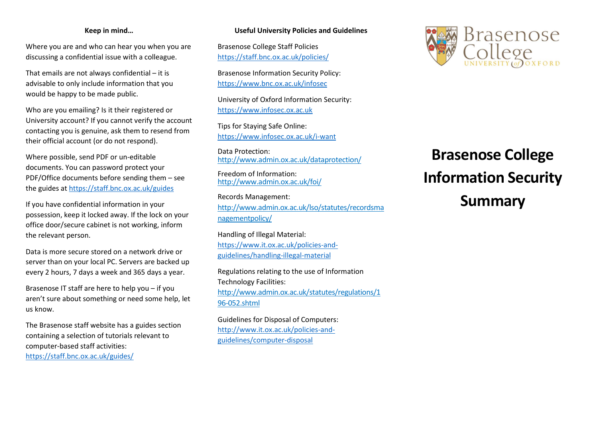#### Keep in mind…

Where you are and who can hear you when you are discussing a confidential issue with a colleague.

That emails are not always confidential – it is advisable to only include information that you would be happy to be made public.

Who are you emailing? Is it their registered or University account? If you cannot verify the account contacting you is genuine, ask them to resend from their official account (or do not respond).

Where possible, send PDF or un-editable documents. You can password protect your PDF/Office documents before sending them – see the guides at https://staff.bnc.ox.ac.uk/guides

If you have confidential information in your possession, keep it locked away. If the lock on your office door/secure cabinet is not working, inform the relevant person.

Data is more secure stored on a network drive or server than on your local PC. Servers are backed up every 2 hours, 7 days a week and 365 days a year.

Brasenose IT staff are here to help you – if you aren't sure about something or need some help, let us know.

The Brasenose staff website has a guides section containing a selection of tutorials relevant to computer-based staff activities: https://staff.bnc.ox.ac.uk/guides/

### Useful University Policies and Guidelines

Brasenose College Staff Policies https://staff.bnc.ox.ac.uk/policies/

Brasenose Information Security Policy: https://www.bnc.ox.ac.uk/infosec

University of Oxford Information Security: https://www.infosec.ox.ac.uk

Tips for Staying Safe Online: https://www.infosec.ox.ac.uk/i-want

Data Protection: http://www.admin.ox.ac.uk/dataprotection/

Freedom of Information: http://www.admin.ox.ac.uk/foi/

Records Management: http://www.admin.ox.ac.uk/lso/statutes/recordsma nagementpolicy/

Handling of Illegal Material: https://www.it.ox.ac.uk/policies-andguidelines/handling-illegal-material

Regulations relating to the use of Information Technology Facilities: http://www.admin.ox.ac.uk/statutes/regulations/1 96-052.shtml

Guidelines for Disposal of Computers: http://www.it.ox.ac.uk/policies-andguidelines/computer-disposal



# Brasenose College Information Security Summary